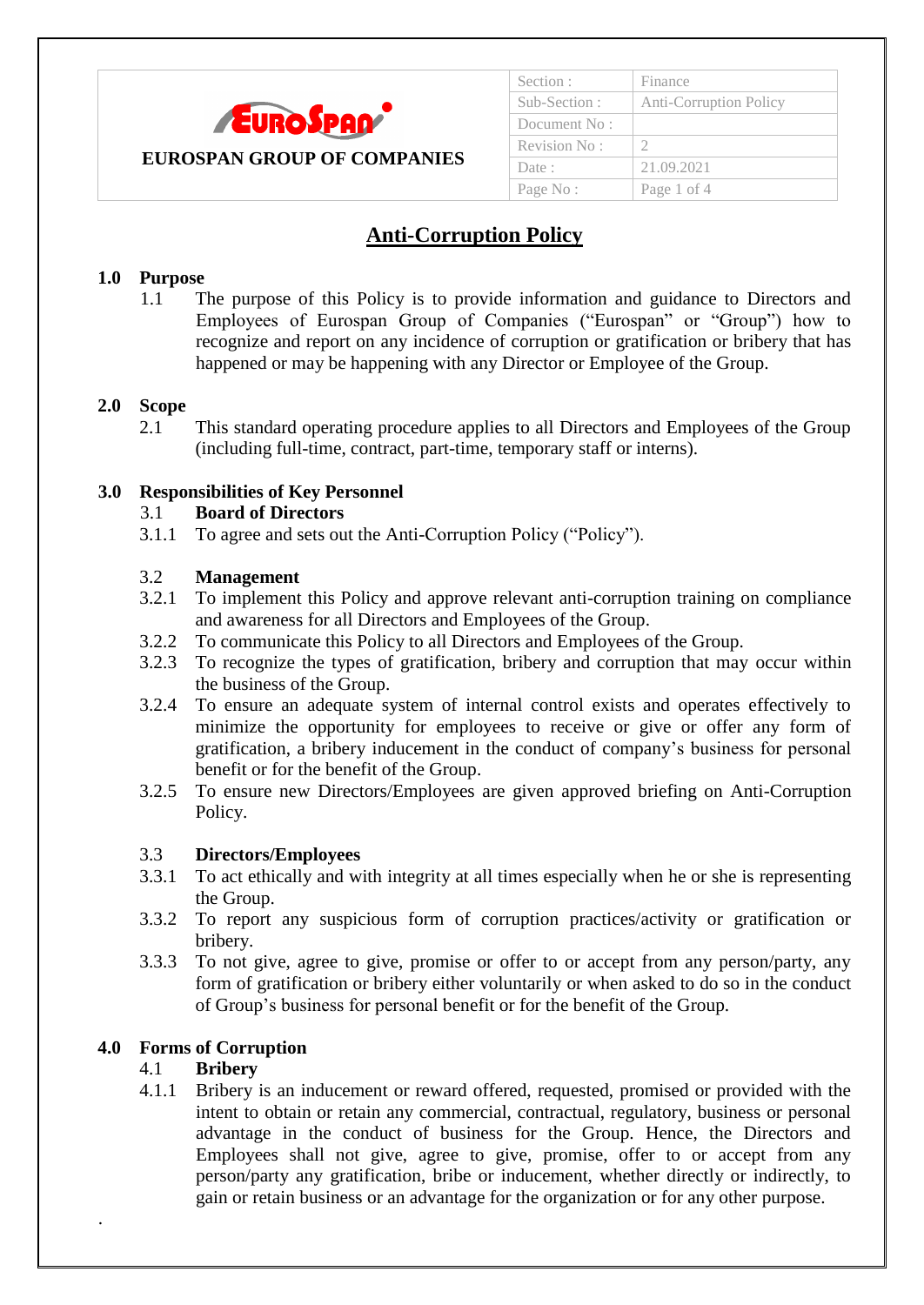

## Section : Finance Sub-Section : Anti-Corruption Policy Document No : Revision No:  $\vert$  2 Date : 21.09.2021 Page No : | Page 1 of 4

# **Anti-Corruption Policy**

### **1.0 Purpose**

1.1 The purpose of this Policy is to provide information and guidance to Directors and Employees of Eurospan Group of Companies ("Eurospan" or "Group") how to recognize and report on any incidence of corruption or gratification or bribery that has happened or may be happening with any Director or Employee of the Group.

### **2.0 Scope**

2.1 This standard operating procedure applies to all Directors and Employees of the Group (including full-time, contract, part-time, temporary staff or interns).

#### **3.0 Responsibilities of Key Personnel**

#### 3.1 **Board of Directors**

3.1.1 To agree and sets out the Anti-Corruption Policy ("Policy").

#### 3.2 **Management**

- 3.2.1 To implement this Policy and approve relevant anti-corruption training on compliance and awareness for all Directors and Employees of the Group.
- 3.2.2 To communicate this Policy to all Directors and Employees of the Group.
- 3.2.3 To recognize the types of gratification, bribery and corruption that may occur within the business of the Group.
- 3.2.4 To ensure an adequate system of internal control exists and operates effectively to minimize the opportunity for employees to receive or give or offer any form of gratification, a bribery inducement in the conduct of company"s business for personal benefit or for the benefit of the Group.
- 3.2.5 To ensure new Directors/Employees are given approved briefing on Anti-Corruption Policy.

### 3.3 **Directors/Employees**

- 3.3.1 To act ethically and with integrity at all times especially when he or she is representing the Group.
- 3.3.2 To report any suspicious form of corruption practices/activity or gratification or bribery.
- 3.3.3 To not give, agree to give, promise or offer to or accept from any person/party, any form of gratification or bribery either voluntarily or when asked to do so in the conduct of Group"s business for personal benefit or for the benefit of the Group.

### **4.0 Forms of Corruption**

### 4.1 **Bribery**

.

4.1.1 Bribery is an inducement or reward offered, requested, promised or provided with the intent to obtain or retain any commercial, contractual, regulatory, business or personal advantage in the conduct of business for the Group. Hence, the Directors and Employees shall not give, agree to give, promise, offer to or accept from any person/party any gratification, bribe or inducement, whether directly or indirectly, to gain or retain business or an advantage for the organization or for any other purpose.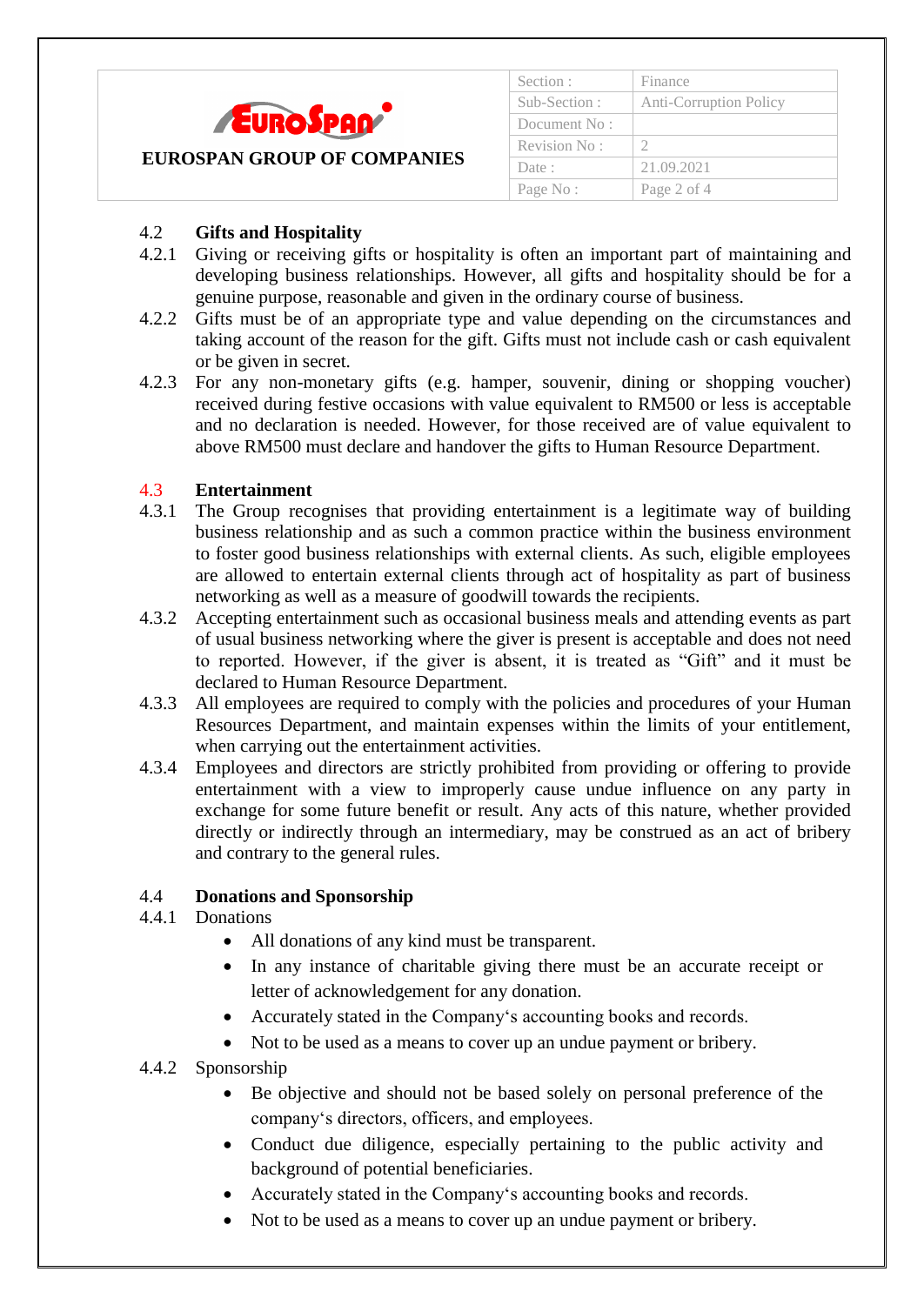

| Section :    | Finance                       |  |
|--------------|-------------------------------|--|
| Sub-Section: | <b>Anti-Corruption Policy</b> |  |
| Document No: |                               |  |
| Revision No: |                               |  |
| Date:        | 21.09.2021                    |  |
| Page No:     | Page 2 of 4                   |  |
|              |                               |  |

## 4.2 **Gifts and Hospitality**

- 4.2.1 Giving or receiving gifts or hospitality is often an important part of maintaining and developing business relationships. However, all gifts and hospitality should be for a genuine purpose, reasonable and given in the ordinary course of business.
- 4.2.2 Gifts must be of an appropriate type and value depending on the circumstances and taking account of the reason for the gift. Gifts must not include cash or cash equivalent or be given in secret.
- 4.2.3 For any non-monetary gifts (e.g. hamper, souvenir, dining or shopping voucher) received during festive occasions with value equivalent to RM500 or less is acceptable and no declaration is needed. However, for those received are of value equivalent to above RM500 must declare and handover the gifts to Human Resource Department.

## 4.3 **Entertainment**

- 4.3.1 The Group recognises that providing entertainment is a legitimate way of building business relationship and as such a common practice within the business environment to foster good business relationships with external clients. As such, eligible employees are allowed to entertain external clients through act of hospitality as part of business networking as well as a measure of goodwill towards the recipients.
- 4.3.2 Accepting entertainment such as occasional business meals and attending events as part of usual business networking where the giver is present is acceptable and does not need to reported. However, if the giver is absent, it is treated as "Gift" and it must be declared to Human Resource Department.
- 4.3.3 All employees are required to comply with the policies and procedures of your Human Resources Department, and maintain expenses within the limits of your entitlement, when carrying out the entertainment activities.
- 4.3.4 Employees and directors are strictly prohibited from providing or offering to provide entertainment with a view to improperly cause undue influence on any party in exchange for some future benefit or result. Any acts of this nature, whether provided directly or indirectly through an intermediary, may be construed as an act of bribery and contrary to the general rules.

### 4.4 **Donations and Sponsorship**

### 4.4.1 Donations

- All donations of any kind must be transparent.
- In any instance of charitable giving there must be an accurate receipt or letter of acknowledgement for any donation.
- Accurately stated in the Company's accounting books and records.
- Not to be used as a means to cover up an undue payment or bribery.

### 4.4.2 Sponsorship

- Be objective and should not be based solely on personal preference of the company"s directors, officers, and employees.
- Conduct due diligence, especially pertaining to the public activity and background of potential beneficiaries.
- Accurately stated in the Company's accounting books and records.
- Not to be used as a means to cover up an undue payment or bribery.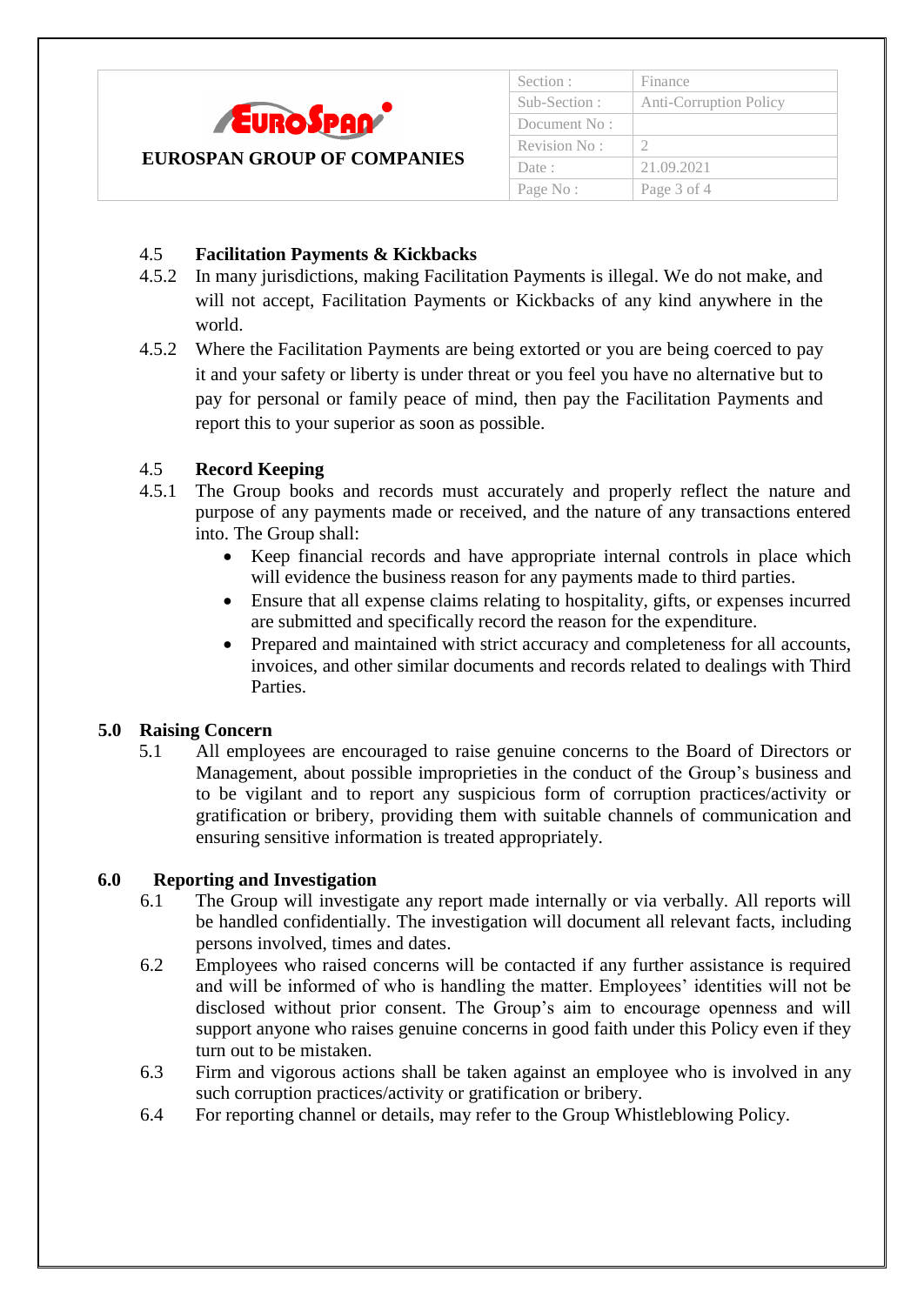

| Section:     | Finance                |
|--------------|------------------------|
| Sub-Section: | Anti-Corruption Policy |
| Document No: |                        |
| Revision No: |                        |
| Date:        | 21.09.2021             |
| Page No:     | Page 3 of 4            |

## 4.5 **Facilitation Payments & Kickbacks**

- 4.5.2 In many jurisdictions, making Facilitation Payments is illegal. We do not make, and will not accept, Facilitation Payments or Kickbacks of any kind anywhere in the world.
- 4.5.2 Where the Facilitation Payments are being extorted or you are being coerced to pay it and your safety or liberty is under threat or you feel you have no alternative but to pay for personal or family peace of mind, then pay the Facilitation Payments and report this to your superior as soon as possible.

## 4.5 **Record Keeping**

- 4.5.1 The Group books and records must accurately and properly reflect the nature and purpose of any payments made or received, and the nature of any transactions entered into. The Group shall:
	- Keep financial records and have appropriate internal controls in place which will evidence the business reason for any payments made to third parties.
	- Ensure that all expense claims relating to hospitality, gifts, or expenses incurred are submitted and specifically record the reason for the expenditure.
	- Prepared and maintained with strict accuracy and completeness for all accounts, invoices, and other similar documents and records related to dealings with Third Parties.

### **5.0 Raising Concern**

5.1 All employees are encouraged to raise genuine concerns to the Board of Directors or Management, about possible improprieties in the conduct of the Group"s business and to be vigilant and to report any suspicious form of corruption practices/activity or gratification or bribery, providing them with suitable channels of communication and ensuring sensitive information is treated appropriately.

### **6.0 Reporting and Investigation**

- 6.1 The Group will investigate any report made internally or via verbally. All reports will be handled confidentially. The investigation will document all relevant facts, including persons involved, times and dates.
- 6.2 Employees who raised concerns will be contacted if any further assistance is required and will be informed of who is handling the matter. Employees' identities will not be disclosed without prior consent. The Group"s aim to encourage openness and will support anyone who raises genuine concerns in good faith under this Policy even if they turn out to be mistaken.
- 6.3 Firm and vigorous actions shall be taken against an employee who is involved in any such corruption practices/activity or gratification or bribery.
- 6.4 For reporting channel or details, may refer to the Group Whistleblowing Policy.